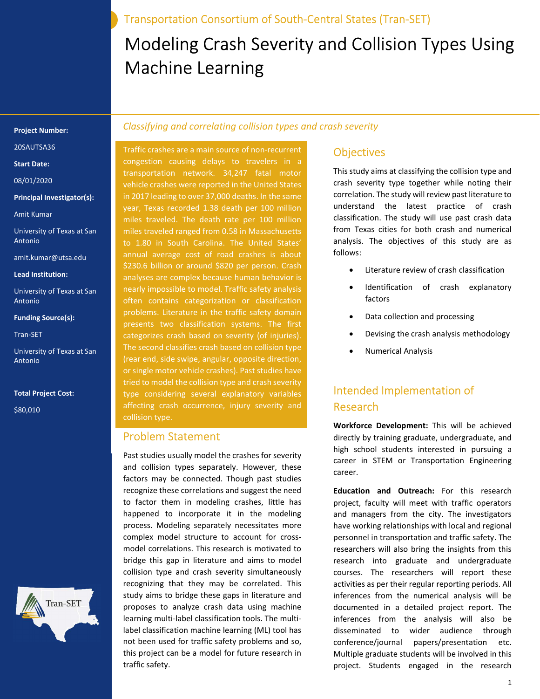Transportation Consortium of South-Central States (Tran-SET)

# Modeling Crash Severity and Collision Types Using Machine Learning

#### Project Number:

20SAUTSA36

Start Date:

08/01/2020

Principal Investigator(s):

Amit Kumar

University of Texas at San Antonio

amit.kumar@utsa.edu

Lead Institution:

University of Texas at San Antonio

#### Funding Source(s):

Tran-SET

University of Texas at San Antonio

Tran-SET

Total Project Cost:

\$80,010

### Classifying and correlating collision types and crash severity

Traffic crashes are a main source of non-recurrent congestion causing delays to travelers in a transportation network. 34,247 fatal motor vehicle crashes were reported in the United States in 2017 leading to over 37,000 deaths. In the same miles traveled. The death rate per 100 million miles traveled ranged from 0.58 in Massachusetts to 1.80 in South Carolina. The United States' annual average cost of road crashes is about \$230.6 billion or around \$820 per person. Crash analyses are complex because human behavior is nearly impossible to model. Traffic safety analysis often contains categorization or classification problems. Literature in the traffic safety domain presents two classification systems. The first categorizes crash based on severity (of injuries). The second classifies crash based on collision type (rear end, side swipe, angular, opposite direction, or single motor vehicle crashes). Past studies have tried to model the collision type and crash severity type considering several explanatory variables affecting crash occurrence, injury severity and collision type.

#### Problem Statement

Past studies usually model the crashes for severity and collision types separately. However, these factors may be connected. Though past studies recognize these correlations and suggest the need to factor them in modeling crashes, little has happened to incorporate it in the modeling process. Modeling separately necessitates more complex model structure to account for crossmodel correlations. This research is motivated to bridge this gap in literature and aims to model collision type and crash severity simultaneously recognizing that they may be correlated. This study aims to bridge these gaps in literature and proposes to analyze crash data using machine learning multi-label classification tools. The multilabel classification machine learning (ML) tool has not been used for traffic safety problems and so, this project can be a model for future research in traffic safety.

## **Objectives**

This study aims at classifying the collision type and crash severity type together while noting their correlation. The study will review past literature to understand the latest practice of crash classification. The study will use past crash data from Texas cities for both crash and numerical analysis. The objectives of this study are as follows:

- Literature review of crash classification
- Identification of crash explanatory factors
- Data collection and processing
- Devising the crash analysis methodology
- Numerical Analysis

# Intended Implementation of Research

Workforce Development: This will be achieved directly by training graduate, undergraduate, and high school students interested in pursuing a career in STEM or Transportation Engineering career.

Education and Outreach: For this research project, faculty will meet with traffic operators and managers from the city. The investigators have working relationships with local and regional personnel in transportation and traffic safety. The researchers will also bring the insights from this research into graduate and undergraduate courses. The researchers will report these activities as per their regular reporting periods. All inferences from the numerical analysis will be documented in a detailed project report. The inferences from the analysis will also be disseminated to wider audience through conference/journal papers/presentation etc. Multiple graduate students will be involved in this project. Students engaged in the research